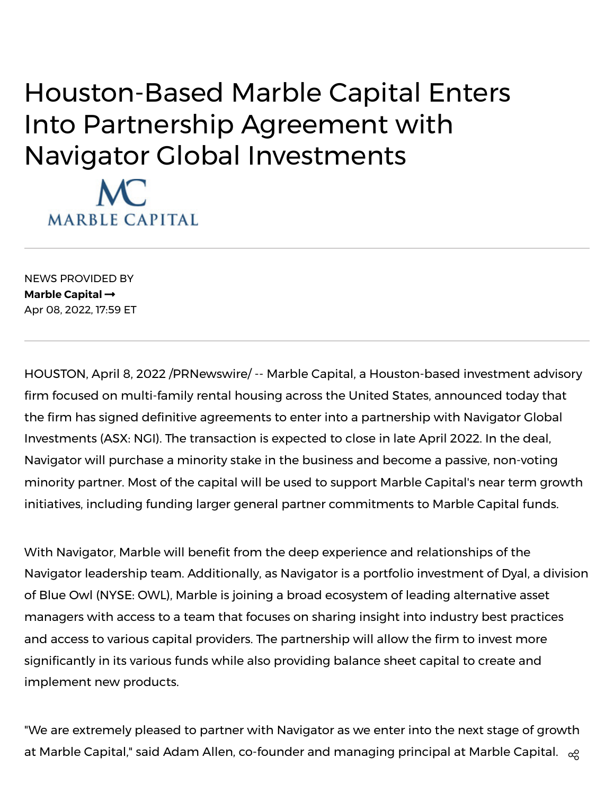## Houston-Based Marble Capital Enters Into Partnership Agreement with Navigator Global Investments



NEWS PROVIDED BY **Marble [Capital](https://www.prnewswire.com/news/marble-capital/)** Apr 08, 2022, 17:59 ET

HOUSTON, April 8, 2022 /PRNewswire/ -- Marble Capital, a Houston-based investment advisory firm focused on multi-family rental housing across the United States, announced today that the firm has signed definitive agreements to enter into a partnership with Navigator Global Investments (ASX: NGI). The transaction is expected to close in late April 2022. In the deal, Navigator will purchase a minority stake in the business and become a passive, non-voting minority partner. Most of the capital will be used to support Marble Capital's near term growth initiatives, including funding larger general partner commitments to Marble Capital funds.

With Navigator, Marble will benefit from the deep experience and relationships of the Navigator leadership team. Additionally, as Navigator is a portfolio investment of Dyal, a division of Blue Owl (NYSE: OWL), Marble is joining a broad ecosystem of leading alternative asset managers with access to a team that focuses on sharing insight into industry best practices and access to various capital providers. The partnership will allow the firm to invest more significantly in its various funds while also providing balance sheet capital to create and implement new products.

"We are extremely pleased to partner with Navigator as we enter into the next stage of growth at Marble Capital," said Adam Allen, co-founder and managing principal at Marble Capital.  $\alpha$